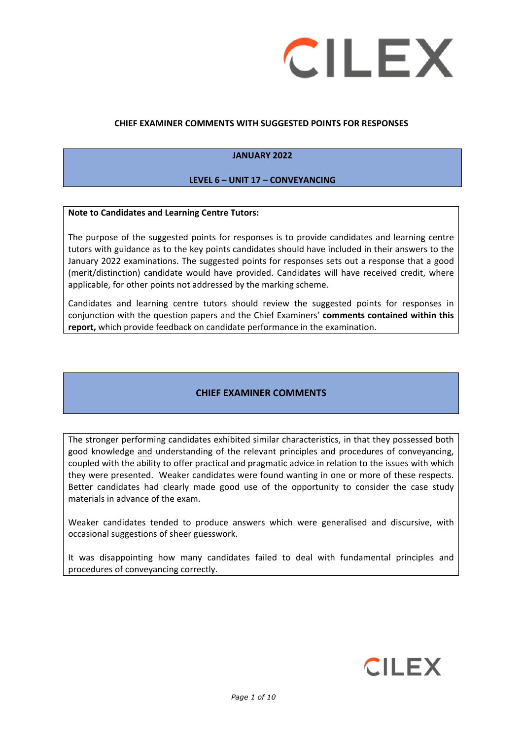

### **CHIEF EXAMINER COMMENTS WITH SUGGESTED POINTS FOR RESPONSES**

### **JANUARY 2022**

#### **LEVEL 6 – UNIT 17 – CONVEYANCING**

#### **Note to Candidates and Learning Centre Tutors:**

The purpose of the suggested points for responses is to provide candidates and learning centre tutors with guidance as to the key points candidates should have included in their answers to the January 2022 examinations. The suggested points for responses sets out a response that a good (merit/distinction) candidate would have provided. Candidates will have received credit, where applicable, for other points not addressed by the marking scheme.

Candidates and learning centre tutors should review the suggested points for responses in conjunction with the question papers and the Chief Examiners' **comments contained within this report,** which provide feedback on candidate performance in the examination.

## **CHIEF EXAMINER COMMENTS**

The stronger performing candidates exhibited similar characteristics, in that they possessed both good knowledge and understanding of the relevant principles and procedures of conveyancing, coupled with the ability to offer practical and pragmatic advice in relation to the issues with which they were presented. Weaker candidates were found wanting in one or more of these respects. Better candidates had clearly made good use of the opportunity to consider the case study materials in advance of the exam.

Weaker candidates tended to produce answers which were generalised and discursive, with occasional suggestions of sheer guesswork.

It was disappointing how many candidates failed to deal with fundamental principles and procedures of conveyancing correctly.

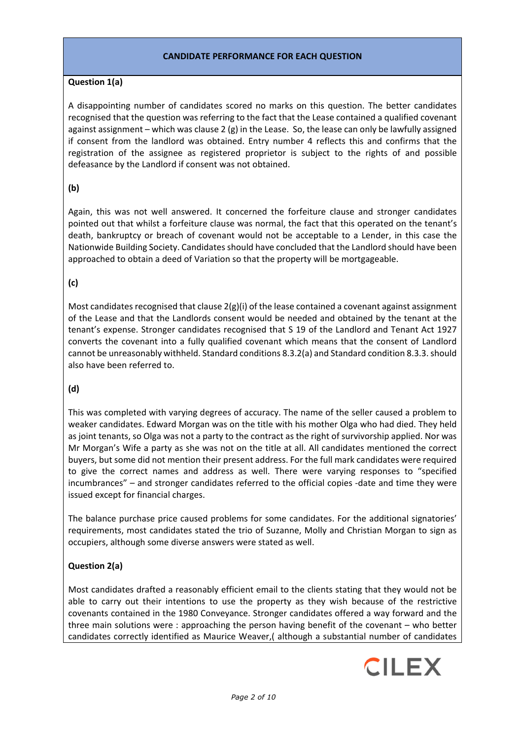### **CANDIDATE PERFORMANCE FOR EACH QUESTION**

### **Question 1(a)**

A disappointing number of candidates scored no marks on this question. The better candidates recognised that the question was referring to the fact that the Lease contained a qualified covenant against assignment – which was clause 2  $(g)$  in the Lease. So, the lease can only be lawfully assigned if consent from the landlord was obtained. Entry number 4 reflects this and confirms that the registration of the assignee as registered proprietor is subject to the rights of and possible defeasance by the Landlord if consent was not obtained.

## **(b)**

Again, this was not well answered. It concerned the forfeiture clause and stronger candidates pointed out that whilst a forfeiture clause was normal, the fact that this operated on the tenant's death, bankruptcy or breach of covenant would not be acceptable to a Lender, in this case the Nationwide Building Society. Candidates should have concluded that the Landlord should have been approached to obtain a deed of Variation so that the property will be mortgageable.

## **(c)**

Most candidates recognised that clause  $2(g)(i)$  of the lease contained a covenant against assignment of the Lease and that the Landlords consent would be needed and obtained by the tenant at the tenant's expense. Stronger candidates recognised that S 19 of the Landlord and Tenant Act 1927 converts the covenant into a fully qualified covenant which means that the consent of Landlord cannot be unreasonably withheld. Standard conditions 8.3.2(a) and Standard condition 8.3.3. should also have been referred to.

## **(d)**

This was completed with varying degrees of accuracy. The name of the seller caused a problem to weaker candidates. Edward Morgan was on the title with his mother Olga who had died. They held as joint tenants, so Olga was not a party to the contract as the right of survivorship applied. Nor was Mr Morgan's Wife a party as she was not on the title at all. All candidates mentioned the correct buyers, but some did not mention their present address. For the full mark candidates were required to give the correct names and address as well. There were varying responses to "specified incumbrances" – and stronger candidates referred to the official copies -date and time they were issued except for financial charges.

The balance purchase price caused problems for some candidates. For the additional signatories' requirements, most candidates stated the trio of Suzanne, Molly and Christian Morgan to sign as occupiers, although some diverse answers were stated as well.

# **Question 2(a)**

Most candidates drafted a reasonably efficient email to the clients stating that they would not be able to carry out their intentions to use the property as they wish because of the restrictive covenants contained in the 1980 Conveyance. Stronger candidates offered a way forward and the three main solutions were : approaching the person having benefit of the covenant – who better candidates correctly identified as Maurice Weaver,( although a substantial number of candidates

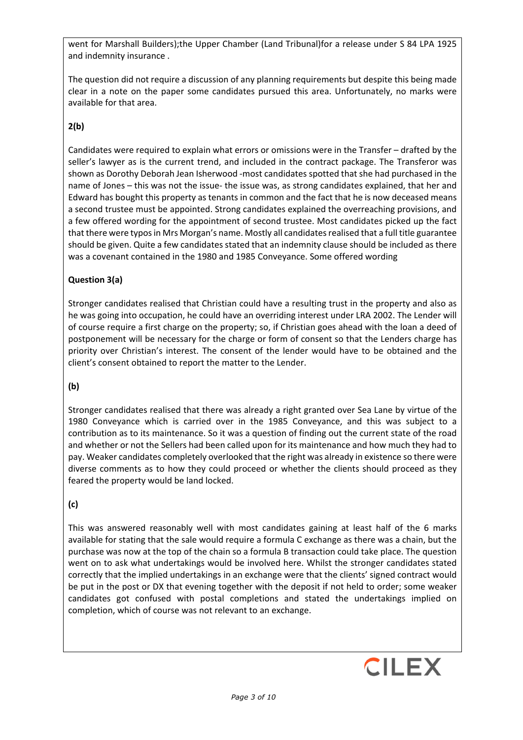went for Marshall Builders);the Upper Chamber (Land Tribunal)for a release under S 84 LPA 1925 and indemnity insurance .

The question did not require a discussion of any planning requirements but despite this being made clear in a note on the paper some candidates pursued this area. Unfortunately, no marks were available for that area.

# **2(b)**

Candidates were required to explain what errors or omissions were in the Transfer – drafted by the seller's lawyer as is the current trend, and included in the contract package. The Transferor was shown as Dorothy Deborah Jean Isherwood -most candidates spotted that she had purchased in the name of Jones – this was not the issue- the issue was, as strong candidates explained, that her and Edward has bought this property as tenants in common and the fact that he is now deceased means a second trustee must be appointed. Strong candidates explained the overreaching provisions, and a few offered wording for the appointment of second trustee. Most candidates picked up the fact that there were typos in Mrs Morgan's name. Mostly all candidates realised that a full title guarantee should be given. Quite a few candidates stated that an indemnity clause should be included as there was a covenant contained in the 1980 and 1985 Conveyance. Some offered wording

## **Question 3(a)**

Stronger candidates realised that Christian could have a resulting trust in the property and also as he was going into occupation, he could have an overriding interest under LRA 2002. The Lender will of course require a first charge on the property; so, if Christian goes ahead with the loan a deed of postponement will be necessary for the charge or form of consent so that the Lenders charge has priority over Christian's interest. The consent of the lender would have to be obtained and the client's consent obtained to report the matter to the Lender.

# **(b)**

Stronger candidates realised that there was already a right granted over Sea Lane by virtue of the 1980 Conveyance which is carried over in the 1985 Conveyance, and this was subject to a contribution as to its maintenance. So it was a question of finding out the current state of the road and whether or not the Sellers had been called upon for its maintenance and how much they had to pay. Weaker candidates completely overlooked that the right was already in existence so there were diverse comments as to how they could proceed or whether the clients should proceed as they feared the property would be land locked.

# **(c)**

This was answered reasonably well with most candidates gaining at least half of the 6 marks available for stating that the sale would require a formula C exchange as there was a chain, but the purchase was now at the top of the chain so a formula B transaction could take place. The question went on to ask what undertakings would be involved here. Whilst the stronger candidates stated correctly that the implied undertakings in an exchange were that the clients' signed contract would be put in the post or DX that evening together with the deposit if not held to order; some weaker candidates got confused with postal completions and stated the undertakings implied on completion, which of course was not relevant to an exchange.

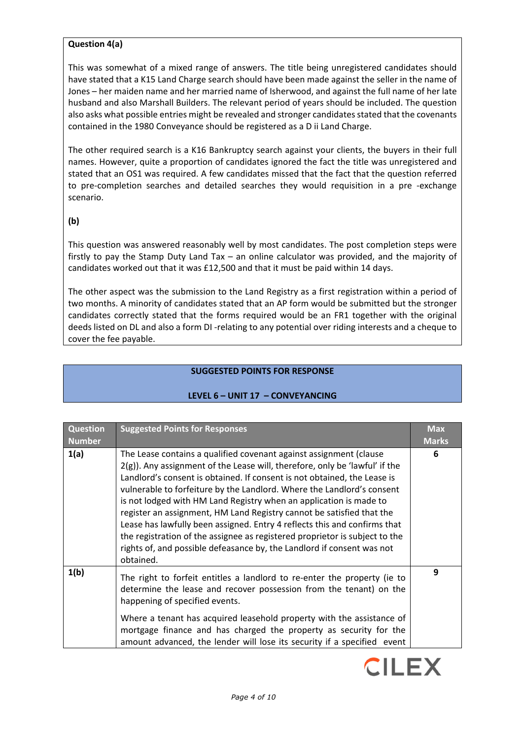## **Question 4(a)**

This was somewhat of a mixed range of answers. The title being unregistered candidates should have stated that a K15 Land Charge search should have been made against the seller in the name of Jones – her maiden name and her married name of Isherwood, and against the full name of her late husband and also Marshall Builders. The relevant period of years should be included. The question also asks what possible entries might be revealed and stronger candidates stated that the covenants contained in the 1980 Conveyance should be registered as a D ii Land Charge.

The other required search is a K16 Bankruptcy search against your clients, the buyers in their full names. However, quite a proportion of candidates ignored the fact the title was unregistered and stated that an OS1 was required. A few candidates missed that the fact that the question referred to pre-completion searches and detailed searches they would requisition in a pre -exchange scenario.

### **(b)**

This question was answered reasonably well by most candidates. The post completion steps were firstly to pay the Stamp Duty Land Tax – an online calculator was provided, and the majority of candidates worked out that it was £12,500 and that it must be paid within 14 days.

The other aspect was the submission to the Land Registry as a first registration within a period of two months. A minority of candidates stated that an AP form would be submitted but the stronger candidates correctly stated that the forms required would be an FR1 together with the original deeds listed on DL and also a form DI -relating to any potential over riding interests and a cheque to cover the fee payable.

## **SUGGESTED POINTS FOR RESPONSE**

| <b>Question</b><br><b>Number</b> | <b>Suggested Points for Responses</b>                                                                                                                                                                                                                                                                                                                                                                                                                                                                                                                                                                                                                                                                        | <b>Max</b><br><b>Marks</b> |
|----------------------------------|--------------------------------------------------------------------------------------------------------------------------------------------------------------------------------------------------------------------------------------------------------------------------------------------------------------------------------------------------------------------------------------------------------------------------------------------------------------------------------------------------------------------------------------------------------------------------------------------------------------------------------------------------------------------------------------------------------------|----------------------------|
| 1(a)                             | The Lease contains a qualified covenant against assignment (clause<br>$2(g)$ ). Any assignment of the Lease will, therefore, only be 'lawful' if the<br>Landlord's consent is obtained. If consent is not obtained, the Lease is<br>vulnerable to forfeiture by the Landlord. Where the Landlord's consent<br>is not lodged with HM Land Registry when an application is made to<br>register an assignment, HM Land Registry cannot be satisfied that the<br>Lease has lawfully been assigned. Entry 4 reflects this and confirms that<br>the registration of the assignee as registered proprietor is subject to the<br>rights of, and possible defeasance by, the Landlord if consent was not<br>obtained. | 6                          |
| 1(b)                             | The right to forfeit entitles a landlord to re-enter the property (ie to<br>determine the lease and recover possession from the tenant) on the<br>happening of specified events.                                                                                                                                                                                                                                                                                                                                                                                                                                                                                                                             | 9                          |
|                                  | Where a tenant has acquired leasehold property with the assistance of<br>mortgage finance and has charged the property as security for the<br>amount advanced, the lender will lose its security if a specified event                                                                                                                                                                                                                                                                                                                                                                                                                                                                                        |                            |

## **LEVEL 6 – UNIT 17 – CONVEYANCING**

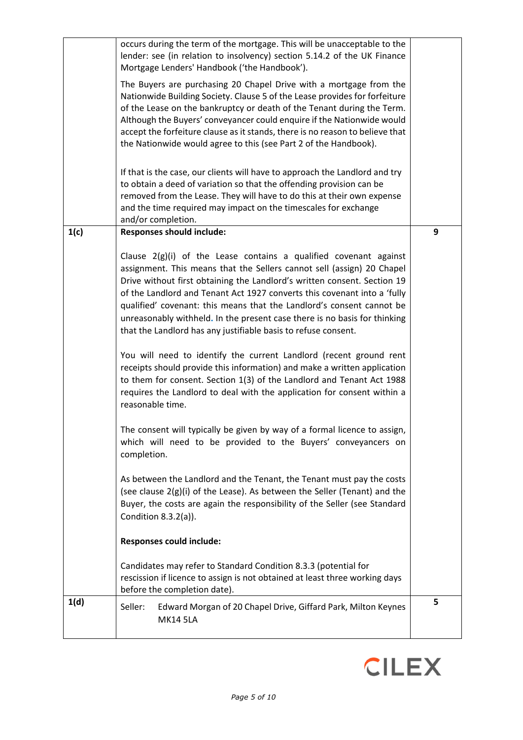|      | occurs during the term of the mortgage. This will be unacceptable to the<br>lender: see (in relation to insolvency) section 5.14.2 of the UK Finance<br>Mortgage Lenders' Handbook ('the Handbook').                                                                                                                                                                                                                                                                                                                          |   |
|------|-------------------------------------------------------------------------------------------------------------------------------------------------------------------------------------------------------------------------------------------------------------------------------------------------------------------------------------------------------------------------------------------------------------------------------------------------------------------------------------------------------------------------------|---|
|      | The Buyers are purchasing 20 Chapel Drive with a mortgage from the<br>Nationwide Building Society. Clause 5 of the Lease provides for forfeiture<br>of the Lease on the bankruptcy or death of the Tenant during the Term.<br>Although the Buyers' conveyancer could enquire if the Nationwide would<br>accept the forfeiture clause as it stands, there is no reason to believe that<br>the Nationwide would agree to this (see Part 2 of the Handbook).                                                                     |   |
|      | If that is the case, our clients will have to approach the Landlord and try<br>to obtain a deed of variation so that the offending provision can be<br>removed from the Lease. They will have to do this at their own expense<br>and the time required may impact on the timescales for exchange<br>and/or completion.                                                                                                                                                                                                        |   |
| 1(c) | <b>Responses should include:</b>                                                                                                                                                                                                                                                                                                                                                                                                                                                                                              | 9 |
|      | Clause $2(g)(i)$ of the Lease contains a qualified covenant against<br>assignment. This means that the Sellers cannot sell (assign) 20 Chapel<br>Drive without first obtaining the Landlord's written consent. Section 19<br>of the Landlord and Tenant Act 1927 converts this covenant into a 'fully<br>qualified' covenant: this means that the Landlord's consent cannot be<br>unreasonably withheld. In the present case there is no basis for thinking<br>that the Landlord has any justifiable basis to refuse consent. |   |
|      | You will need to identify the current Landlord (recent ground rent<br>receipts should provide this information) and make a written application<br>to them for consent. Section 1(3) of the Landlord and Tenant Act 1988<br>requires the Landlord to deal with the application for consent within a<br>reasonable time.                                                                                                                                                                                                        |   |
|      | The consent will typically be given by way of a formal licence to assign,<br>which will need to be provided to the Buyers' conveyancers on<br>completion.                                                                                                                                                                                                                                                                                                                                                                     |   |
|      | As between the Landlord and the Tenant, the Tenant must pay the costs<br>(see clause 2(g)(i) of the Lease). As between the Seller (Tenant) and the<br>Buyer, the costs are again the responsibility of the Seller (see Standard<br>Condition $8.3.2(a)$ ).                                                                                                                                                                                                                                                                    |   |
|      | <b>Responses could include:</b>                                                                                                                                                                                                                                                                                                                                                                                                                                                                                               |   |
|      | Candidates may refer to Standard Condition 8.3.3 (potential for<br>rescission if licence to assign is not obtained at least three working days<br>before the completion date).                                                                                                                                                                                                                                                                                                                                                |   |
| 1(d) | Seller:<br>Edward Morgan of 20 Chapel Drive, Giffard Park, Milton Keynes<br><b>MK14 5LA</b>                                                                                                                                                                                                                                                                                                                                                                                                                                   | 5 |

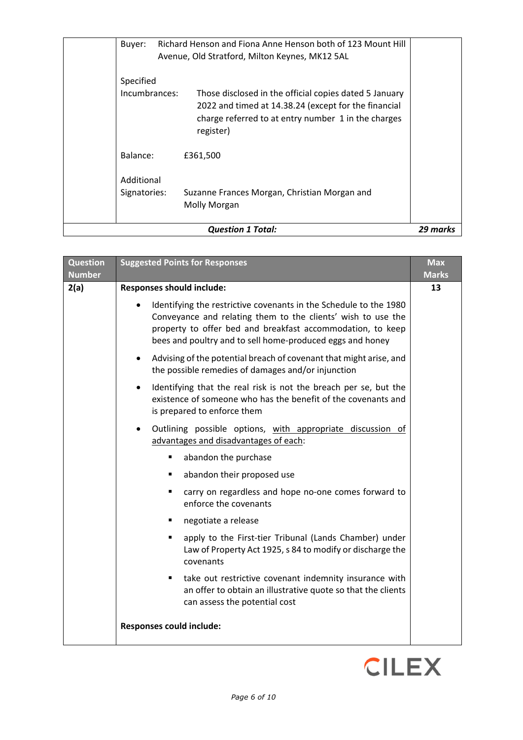|                            | <b>Question 1 Total:</b>                                                                                                                                                           | 29 marks |
|----------------------------|------------------------------------------------------------------------------------------------------------------------------------------------------------------------------------|----------|
| Additional<br>Signatories: | Suzanne Frances Morgan, Christian Morgan and<br>Molly Morgan                                                                                                                       |          |
| Balance:                   | £361,500                                                                                                                                                                           |          |
| Specified<br>Incumbrances: | Those disclosed in the official copies dated 5 January<br>2022 and timed at 14.38.24 (except for the financial<br>charge referred to at entry number 1 in the charges<br>register) |          |
| Buyer:                     | Richard Henson and Fiona Anne Henson both of 123 Mount Hill<br>Avenue, Old Stratford, Milton Keynes, MK12 5AL                                                                      |          |

| <b>Question</b><br><b>Number</b> | <b>Suggested Points for Responses</b>                                                                                                                                                                                                                        | <b>Max</b><br><b>Marks</b> |
|----------------------------------|--------------------------------------------------------------------------------------------------------------------------------------------------------------------------------------------------------------------------------------------------------------|----------------------------|
| 2(a)                             | <b>Responses should include:</b>                                                                                                                                                                                                                             | 13                         |
|                                  | Identifying the restrictive covenants in the Schedule to the 1980<br>Conveyance and relating them to the clients' wish to use the<br>property to offer bed and breakfast accommodation, to keep<br>bees and poultry and to sell home-produced eggs and honey |                            |
|                                  | Advising of the potential breach of covenant that might arise, and<br>the possible remedies of damages and/or injunction                                                                                                                                     |                            |
|                                  | Identifying that the real risk is not the breach per se, but the<br>existence of someone who has the benefit of the covenants and<br>is prepared to enforce them                                                                                             |                            |
|                                  | Outlining possible options, with appropriate discussion of<br>advantages and disadvantages of each:                                                                                                                                                          |                            |
|                                  | abandon the purchase<br>٠                                                                                                                                                                                                                                    |                            |
|                                  | abandon their proposed use<br>٠                                                                                                                                                                                                                              |                            |
|                                  | carry on regardless and hope no-one comes forward to<br>٠<br>enforce the covenants                                                                                                                                                                           |                            |
|                                  | negotiate a release<br>٠                                                                                                                                                                                                                                     |                            |
|                                  | apply to the First-tier Tribunal (Lands Chamber) under<br>٠<br>Law of Property Act 1925, s 84 to modify or discharge the<br>covenants                                                                                                                        |                            |
|                                  | take out restrictive covenant indemnity insurance with<br>٠<br>an offer to obtain an illustrative quote so that the clients<br>can assess the potential cost                                                                                                 |                            |
|                                  | Responses could include:                                                                                                                                                                                                                                     |                            |

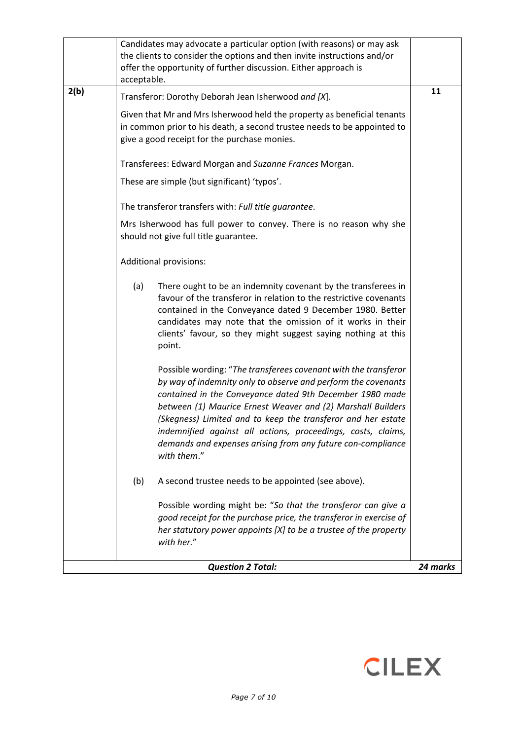|      | Candidates may advocate a particular option (with reasons) or may ask<br>the clients to consider the options and then invite instructions and/or<br>offer the opportunity of further discussion. Either approach is<br>acceptable.                                                                                                                                                                                                                                        |          |
|------|---------------------------------------------------------------------------------------------------------------------------------------------------------------------------------------------------------------------------------------------------------------------------------------------------------------------------------------------------------------------------------------------------------------------------------------------------------------------------|----------|
| 2(b) | Transferor: Dorothy Deborah Jean Isherwood and [X].                                                                                                                                                                                                                                                                                                                                                                                                                       | 11       |
|      | Given that Mr and Mrs Isherwood held the property as beneficial tenants<br>in common prior to his death, a second trustee needs to be appointed to<br>give a good receipt for the purchase monies.                                                                                                                                                                                                                                                                        |          |
|      | Transferees: Edward Morgan and Suzanne Frances Morgan.                                                                                                                                                                                                                                                                                                                                                                                                                    |          |
|      | These are simple (but significant) 'typos'.                                                                                                                                                                                                                                                                                                                                                                                                                               |          |
|      | The transferor transfers with: Full title guarantee.                                                                                                                                                                                                                                                                                                                                                                                                                      |          |
|      | Mrs Isherwood has full power to convey. There is no reason why she<br>should not give full title guarantee.                                                                                                                                                                                                                                                                                                                                                               |          |
|      | Additional provisions:                                                                                                                                                                                                                                                                                                                                                                                                                                                    |          |
|      | (a)<br>There ought to be an indemnity covenant by the transferees in<br>favour of the transferor in relation to the restrictive covenants<br>contained in the Conveyance dated 9 December 1980. Better<br>candidates may note that the omission of it works in their<br>clients' favour, so they might suggest saying nothing at this<br>point.                                                                                                                           |          |
|      | Possible wording: "The transferees covenant with the transferor<br>by way of indemnity only to observe and perform the covenants<br>contained in the Conveyance dated 9th December 1980 made<br>between (1) Maurice Ernest Weaver and (2) Marshall Builders<br>(Skegness) Limited and to keep the transferor and her estate<br>indemnified against all actions, proceedings, costs, claims,<br>demands and expenses arising from any future con-compliance<br>with them." |          |
|      | A second trustee needs to be appointed (see above).<br>(b)                                                                                                                                                                                                                                                                                                                                                                                                                |          |
|      | Possible wording might be: "So that the transferor can give a<br>good receipt for the purchase price, the transferor in exercise of<br>her statutory power appoints [X] to be a trustee of the property<br>with her."                                                                                                                                                                                                                                                     |          |
|      | <b>Question 2 Total:</b>                                                                                                                                                                                                                                                                                                                                                                                                                                                  | 24 marks |

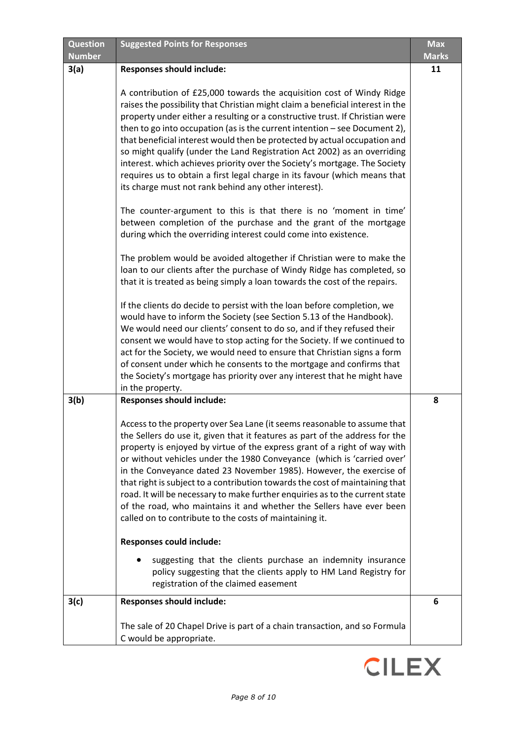| <b>Question</b> | <b>Suggested Points for Responses</b>                                                                                                                                                                                                                                                                                                                                                                                                                                                                                                                                                                                                                                                                                                                                                                                                                                                                                                                                                   | <b>Max</b>   |
|-----------------|-----------------------------------------------------------------------------------------------------------------------------------------------------------------------------------------------------------------------------------------------------------------------------------------------------------------------------------------------------------------------------------------------------------------------------------------------------------------------------------------------------------------------------------------------------------------------------------------------------------------------------------------------------------------------------------------------------------------------------------------------------------------------------------------------------------------------------------------------------------------------------------------------------------------------------------------------------------------------------------------|--------------|
| <b>Number</b>   |                                                                                                                                                                                                                                                                                                                                                                                                                                                                                                                                                                                                                                                                                                                                                                                                                                                                                                                                                                                         | <b>Marks</b> |
| 3(a)            | <b>Responses should include:</b>                                                                                                                                                                                                                                                                                                                                                                                                                                                                                                                                                                                                                                                                                                                                                                                                                                                                                                                                                        | 11           |
|                 | A contribution of £25,000 towards the acquisition cost of Windy Ridge<br>raises the possibility that Christian might claim a beneficial interest in the<br>property under either a resulting or a constructive trust. If Christian were<br>then to go into occupation (as is the current intention - see Document 2),<br>that beneficial interest would then be protected by actual occupation and<br>so might qualify (under the Land Registration Act 2002) as an overriding<br>interest. which achieves priority over the Society's mortgage. The Society<br>requires us to obtain a first legal charge in its favour (which means that<br>its charge must not rank behind any other interest).<br>The counter-argument to this is that there is no 'moment in time'<br>between completion of the purchase and the grant of the mortgage<br>during which the overriding interest could come into existence.<br>The problem would be avoided altogether if Christian were to make the |              |
|                 | loan to our clients after the purchase of Windy Ridge has completed, so<br>that it is treated as being simply a loan towards the cost of the repairs.<br>If the clients do decide to persist with the loan before completion, we<br>would have to inform the Society (see Section 5.13 of the Handbook).<br>We would need our clients' consent to do so, and if they refused their<br>consent we would have to stop acting for the Society. If we continued to<br>act for the Society, we would need to ensure that Christian signs a form<br>of consent under which he consents to the mortgage and confirms that<br>the Society's mortgage has priority over any interest that he might have<br>in the property.                                                                                                                                                                                                                                                                      |              |
| 3(b)            | <b>Responses should include:</b>                                                                                                                                                                                                                                                                                                                                                                                                                                                                                                                                                                                                                                                                                                                                                                                                                                                                                                                                                        | 8            |
|                 | Access to the property over Sea Lane (it seems reasonable to assume that<br>the Sellers do use it, given that it features as part of the address for the<br>property is enjoyed by virtue of the express grant of a right of way with<br>or without vehicles under the 1980 Conveyance (which is 'carried over'<br>in the Conveyance dated 23 November 1985). However, the exercise of<br>that right is subject to a contribution towards the cost of maintaining that<br>road. It will be necessary to make further enquiries as to the current state<br>of the road, who maintains it and whether the Sellers have ever been<br>called on to contribute to the costs of maintaining it.                                                                                                                                                                                                                                                                                               |              |
|                 | <b>Responses could include:</b>                                                                                                                                                                                                                                                                                                                                                                                                                                                                                                                                                                                                                                                                                                                                                                                                                                                                                                                                                         |              |
|                 | suggesting that the clients purchase an indemnity insurance<br>policy suggesting that the clients apply to HM Land Registry for<br>registration of the claimed easement                                                                                                                                                                                                                                                                                                                                                                                                                                                                                                                                                                                                                                                                                                                                                                                                                 |              |
| 3(c)            | <b>Responses should include:</b>                                                                                                                                                                                                                                                                                                                                                                                                                                                                                                                                                                                                                                                                                                                                                                                                                                                                                                                                                        | 6            |
|                 | The sale of 20 Chapel Drive is part of a chain transaction, and so Formula<br>C would be appropriate.                                                                                                                                                                                                                                                                                                                                                                                                                                                                                                                                                                                                                                                                                                                                                                                                                                                                                   |              |

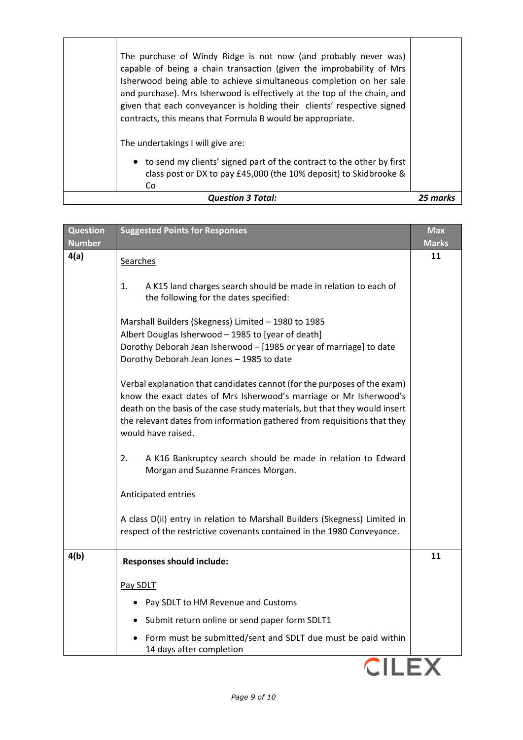| The purchase of Windy Ridge is not now (and probably never was)<br>capable of being a chain transaction (given the improbability of Mrs<br>Isherwood being able to achieve simultaneous completion on her sale<br>and purchase). Mrs Isherwood is effectively at the top of the chain, and<br>given that each conveyancer is holding their clients' respective signed<br>contracts, this means that Formula B would be appropriate. |        |
|-------------------------------------------------------------------------------------------------------------------------------------------------------------------------------------------------------------------------------------------------------------------------------------------------------------------------------------------------------------------------------------------------------------------------------------|--------|
| The undertakings I will give are:                                                                                                                                                                                                                                                                                                                                                                                                   |        |
| • to send my clients' signed part of the contract to the other by first<br>class post or DX to pay £45,000 (the 10% deposit) to Skidbrooke &<br>Co                                                                                                                                                                                                                                                                                  |        |
| <b>Question 3 Total:</b>                                                                                                                                                                                                                                                                                                                                                                                                            | 25 mar |

| <b>Question</b><br><b>Number</b> | <b>Suggested Points for Responses</b>                                                                                                                                                                                                                                                                                          | <b>Max</b><br><b>Marks</b> |
|----------------------------------|--------------------------------------------------------------------------------------------------------------------------------------------------------------------------------------------------------------------------------------------------------------------------------------------------------------------------------|----------------------------|
| 4(a)                             | Searches                                                                                                                                                                                                                                                                                                                       | 11                         |
|                                  | 1.<br>A K15 land charges search should be made in relation to each of<br>the following for the dates specified:                                                                                                                                                                                                                |                            |
|                                  | Marshall Builders (Skegness) Limited - 1980 to 1985<br>Albert Douglas Isherwood - 1985 to [year of death]<br>Dorothy Deborah Jean Isherwood - [1985 or year of marriage] to date<br>Dorothy Deborah Jean Jones - 1985 to date                                                                                                  |                            |
|                                  | Verbal explanation that candidates cannot (for the purposes of the exam)<br>know the exact dates of Mrs Isherwood's marriage or Mr Isherwood's<br>death on the basis of the case study materials, but that they would insert<br>the relevant dates from information gathered from requisitions that they<br>would have raised. |                            |
|                                  | 2.<br>A K16 Bankruptcy search should be made in relation to Edward<br>Morgan and Suzanne Frances Morgan.                                                                                                                                                                                                                       |                            |
|                                  | <b>Anticipated entries</b>                                                                                                                                                                                                                                                                                                     |                            |
|                                  | A class D(ii) entry in relation to Marshall Builders (Skegness) Limited in<br>respect of the restrictive covenants contained in the 1980 Conveyance.                                                                                                                                                                           |                            |
| 4(b)                             | <b>Responses should include:</b>                                                                                                                                                                                                                                                                                               | 11                         |
|                                  | Pay SDLT                                                                                                                                                                                                                                                                                                                       |                            |
|                                  | Pay SDLT to HM Revenue and Customs                                                                                                                                                                                                                                                                                             |                            |
|                                  | • Submit return online or send paper form SDLT1                                                                                                                                                                                                                                                                                |                            |
|                                  | Form must be submitted/sent and SDLT due must be paid within<br>14 days after completion                                                                                                                                                                                                                                       |                            |
|                                  |                                                                                                                                                                                                                                                                                                                                |                            |